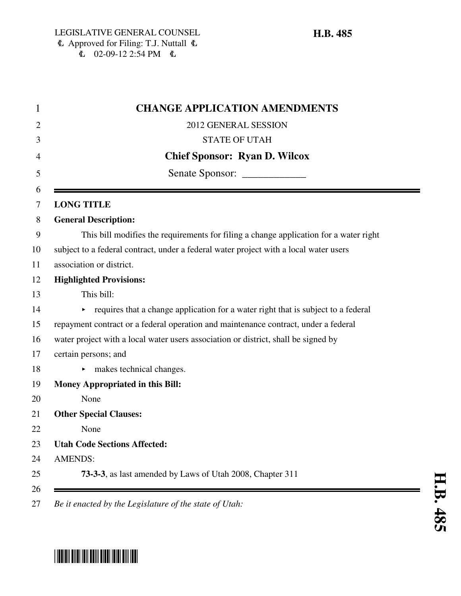| <b>CHANGE APPLICATION AMENDMENTS</b>                                                  |
|---------------------------------------------------------------------------------------|
| 2012 GENERAL SESSION                                                                  |
| <b>STATE OF UTAH</b>                                                                  |
| <b>Chief Sponsor: Ryan D. Wilcox</b>                                                  |
|                                                                                       |
|                                                                                       |
| <b>LONG TITLE</b>                                                                     |
| <b>General Description:</b>                                                           |
| This bill modifies the requirements for filing a change application for a water right |
| subject to a federal contract, under a federal water project with a local water users |
| association or district.                                                              |
| <b>Highlighted Provisions:</b>                                                        |
| This bill:                                                                            |
| requires that a change application for a water right that is subject to a federal     |
| repayment contract or a federal operation and maintenance contract, under a federal   |
| water project with a local water users association or district, shall be signed by    |
| certain persons; and                                                                  |
| makes technical changes.<br>►                                                         |
| <b>Money Appropriated in this Bill:</b>                                               |
| None                                                                                  |
| <b>Other Special Clauses:</b>                                                         |
| None                                                                                  |
| <b>Utah Code Sections Affected:</b>                                                   |
| <b>AMENDS:</b>                                                                        |
| 73-3-3, as last amended by Laws of Utah 2008, Chapter 311                             |

27 *Be it enacted by the Legislature of the state of Utah:*

# \*HB0485\*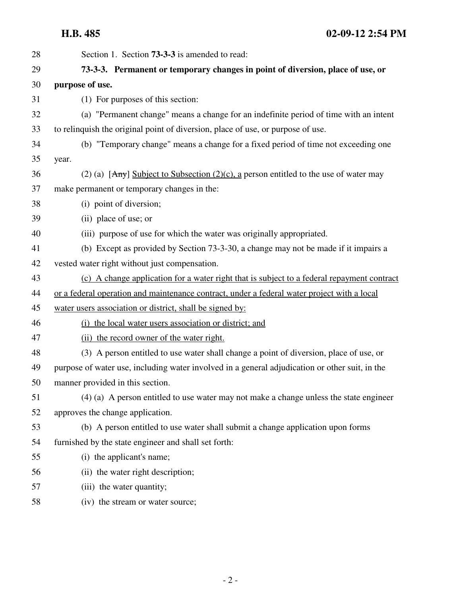**H.B. 485 02-09-12 2:54 PM**

| 28 | Section 1. Section <b>73-3-3</b> is amended to read:                                           |
|----|------------------------------------------------------------------------------------------------|
| 29 | 73-3-3. Permanent or temporary changes in point of diversion, place of use, or                 |
| 30 | purpose of use.                                                                                |
| 31 | (1) For purposes of this section:                                                              |
| 32 | (a) "Permanent change" means a change for an indefinite period of time with an intent          |
| 33 | to relinquish the original point of diversion, place of use, or purpose of use.                |
| 34 | (b) "Temporary change" means a change for a fixed period of time not exceeding one             |
| 35 | year.                                                                                          |
| 36 | (2) (a) $[Any]$ Subject to Subsection (2)(c), a person entitled to the use of water may        |
| 37 | make permanent or temporary changes in the:                                                    |
| 38 | (i) point of diversion;                                                                        |
| 39 | (ii) place of use; or                                                                          |
| 40 | (iii) purpose of use for which the water was originally appropriated.                          |
| 41 | (b) Except as provided by Section 73-3-30, a change may not be made if it impairs a            |
| 42 | vested water right without just compensation.                                                  |
| 43 | (c) A change application for a water right that is subject to a federal repayment contract     |
| 44 | or a federal operation and maintenance contract, under a federal water project with a local    |
| 45 | water users association or district, shall be signed by:                                       |
| 46 | (i) the local water users association or district; and                                         |
| 47 | (ii) the record owner of the water right.                                                      |
| 48 | (3) A person entitled to use water shall change a point of diversion, place of use, or         |
| 49 | purpose of water use, including water involved in a general adjudication or other suit, in the |
| 50 | manner provided in this section.                                                               |
| 51 | $(4)$ (a) A person entitled to use water may not make a change unless the state engineer       |
| 52 | approves the change application.                                                               |
| 53 | (b) A person entitled to use water shall submit a change application upon forms                |
| 54 | furnished by the state engineer and shall set forth:                                           |
| 55 | (i) the applicant's name;                                                                      |
| 56 | (ii) the water right description;                                                              |
| 57 | (iii) the water quantity;                                                                      |
| 58 | (iv) the stream or water source;                                                               |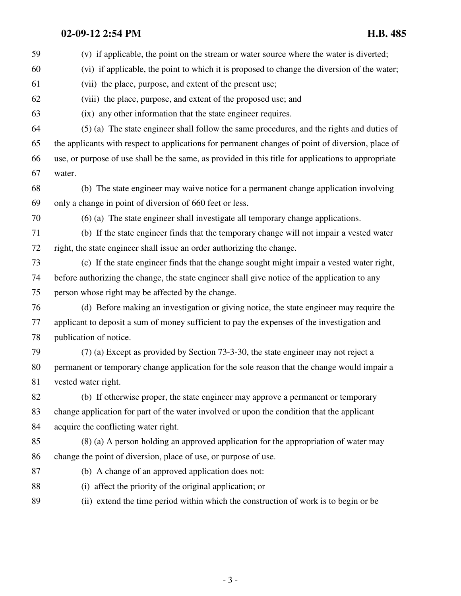## **02-09-12 2:54 PM H.B. 485**

| 59 | (v) if applicable, the point on the stream or water source where the water is diverted;             |  |
|----|-----------------------------------------------------------------------------------------------------|--|
| 60 | (vi) if applicable, the point to which it is proposed to change the diversion of the water;         |  |
| 61 | (vii) the place, purpose, and extent of the present use;                                            |  |
| 62 | (viii) the place, purpose, and extent of the proposed use; and                                      |  |
| 63 | (ix) any other information that the state engineer requires.                                        |  |
| 64 | (5) (a) The state engineer shall follow the same procedures, and the rights and duties of           |  |
| 65 | the applicants with respect to applications for permanent changes of point of diversion, place of   |  |
| 66 | use, or purpose of use shall be the same, as provided in this title for applications to appropriate |  |
| 67 | water.                                                                                              |  |
| 68 | (b) The state engineer may waive notice for a permanent change application involving                |  |
| 69 | only a change in point of diversion of 660 feet or less.                                            |  |
| 70 | (6) (a) The state engineer shall investigate all temporary change applications.                     |  |
| 71 | (b) If the state engineer finds that the temporary change will not impair a vested water            |  |
| 72 | right, the state engineer shall issue an order authorizing the change.                              |  |
| 73 | (c) If the state engineer finds that the change sought might impair a vested water right,           |  |
| 74 | before authorizing the change, the state engineer shall give notice of the application to any       |  |
| 75 | person whose right may be affected by the change.                                                   |  |
| 76 | (d) Before making an investigation or giving notice, the state engineer may require the             |  |
| 77 | applicant to deposit a sum of money sufficient to pay the expenses of the investigation and         |  |
| 78 | publication of notice.                                                                              |  |
| 79 | (7) (a) Except as provided by Section 73-3-30, the state engineer may not reject a                  |  |
| 80 | permanent or temporary change application for the sole reason that the change would impair a        |  |
| 81 | vested water right.                                                                                 |  |
| 82 | (b) If otherwise proper, the state engineer may approve a permanent or temporary                    |  |
| 83 | change application for part of the water involved or upon the condition that the applicant          |  |
| 84 | acquire the conflicting water right.                                                                |  |
| 85 | $(8)$ (a) A person holding an approved application for the appropriation of water may               |  |
| 86 | change the point of diversion, place of use, or purpose of use.                                     |  |
| 87 | (b) A change of an approved application does not:                                                   |  |
| 88 | (i) affect the priority of the original application; or                                             |  |
| 89 | (ii) extend the time period within which the construction of work is to begin or be                 |  |